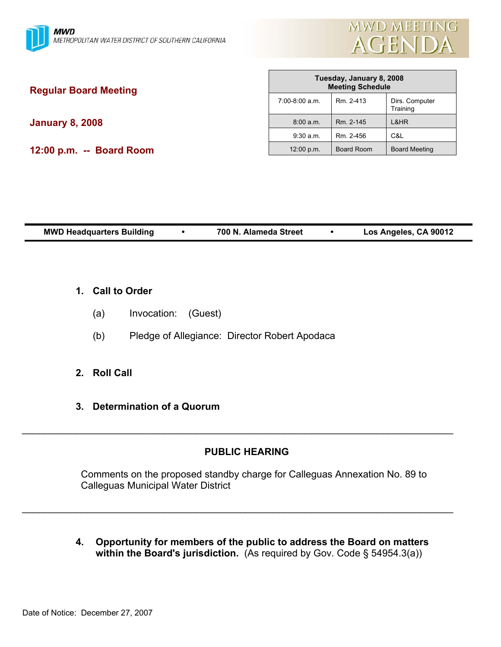

| <b>Regular Board Meeting</b> | Tuesday, January 8, 2008<br><b>Meeting Schedule</b> |                   |                            |
|------------------------------|-----------------------------------------------------|-------------------|----------------------------|
|                              | 7:00-8:00 a.m.                                      | Rm. 2-413         | Dirs. Computer<br>Training |
| <b>January 8, 2008</b>       | 8:00 a.m.                                           | Rm. 2-145         | L&HR                       |
|                              | $9:30$ a.m.                                         | Rm. 2-456         | C&L                        |
| 12:00 p.m. -- Board Room     | 12:00 p.m.                                          | <b>Board Room</b> | <b>Board Meeting</b>       |
|                              |                                                     |                   |                            |

Г

| <b>MWD Headquarters Building</b> | 700 N. Alameda Street |  | Los Angeles, CA 90012 |
|----------------------------------|-----------------------|--|-----------------------|
|----------------------------------|-----------------------|--|-----------------------|

- **1. Call to Order**
	- (a) Invocation: (Guest)
	- (b) Pledge of Allegiance: Director Robert Apodaca
- **2. Roll Call**
- **3. Determination of a Quorum**

# **PUBLIC HEARING**

\_\_\_\_\_\_\_\_\_\_\_\_\_\_\_\_\_\_\_\_\_\_\_\_\_\_\_\_\_\_\_\_\_\_\_\_\_\_\_\_\_\_\_\_\_\_\_\_\_\_\_\_\_\_\_\_\_\_\_\_\_\_\_\_\_\_\_\_\_\_\_\_\_\_\_\_\_\_\_

\_\_\_\_\_\_\_\_\_\_\_\_\_\_\_\_\_\_\_\_\_\_\_\_\_\_\_\_\_\_\_\_\_\_\_\_\_\_\_\_\_\_\_\_\_\_\_\_\_\_\_\_\_\_\_\_\_\_\_\_\_\_\_\_\_\_\_\_\_\_\_\_\_\_\_\_\_\_\_

Comments on the proposed standby charge for Calleguas Annexation No. 89 to Calleguas Municipal Water District

**4. Opportunity for members of the public to address the Board on matters within the Board's jurisdiction.** (As required by Gov. Code § 54954.3(a))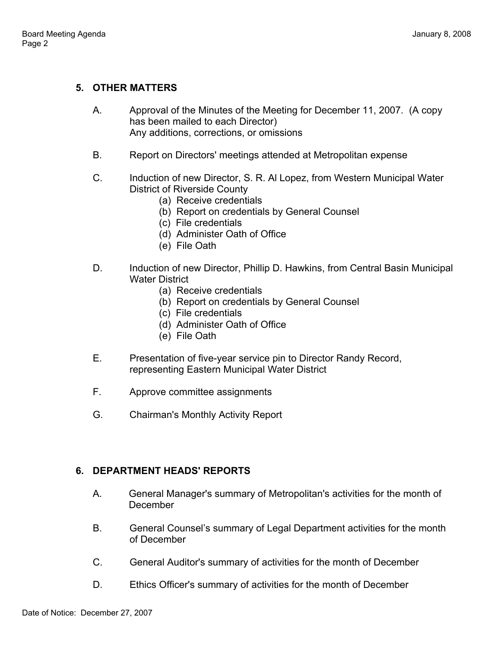## **5. OTHER MATTERS**

- A. Approval of the Minutes of the Meeting for December 11, 2007. (A copy has been mailed to each Director) Any additions, corrections, or omissions
- B. Report on Directors' meetings attended at Metropolitan expense
- C. Induction of new Director, S. R. Al Lopez, from Western Municipal Water District of Riverside County
	- (a) Receive credentials
	- (b) Report on credentials by General Counsel
	- (c) File credentials
	- (d) Administer Oath of Office
	- (e) File Oath
- D. Induction of new Director, Phillip D. Hawkins, from Central Basin Municipal Water District
	- (a) Receive credentials
	- (b) Report on credentials by General Counsel
	- (c) File credentials
	- (d) Administer Oath of Office
	- (e) File Oath
- E. Presentation of five-year service pin to Director Randy Record, representing Eastern Municipal Water District
- F. Approve committee assignments
- G. Chairman's Monthly Activity Report

### **6. DEPARTMENT HEADS' REPORTS**

- A. General Manager's summary of Metropolitan's activities for the month of December
- B. General Counsel's summary of Legal Department activities for the month of December
- C. General Auditor's summary of activities for the month of December
- D. Ethics Officer's summary of activities for the month of December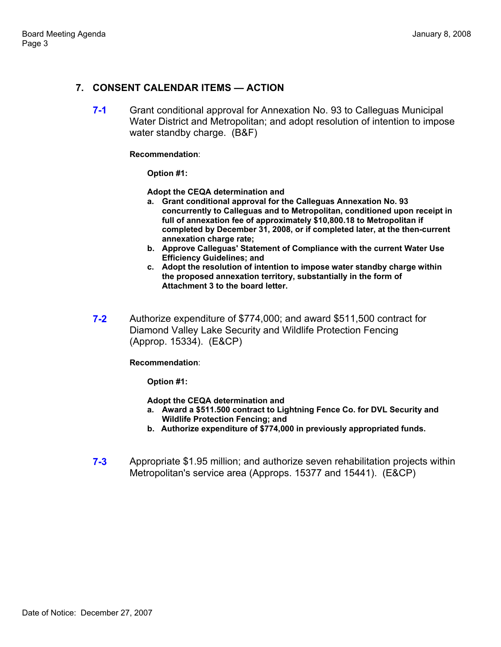## **7. CONSENT CALENDAR ITEMS — ACTION**

**7-1** Grant conditional approval for Annexation No. 93 to Calleguas Municipal Water District and Metropolitan; and adopt resolution of intention to impose water standby charge. (B&F)

### **Recommendation**:

**Option #1:** 

**Adopt the CEQA determination and** 

- **a. Grant conditional approval for the Calleguas Annexation No. 93 concurrently to Calleguas and to Metropolitan, conditioned upon receipt in full of annexation fee of approximately \$10,800.18 to Metropolitan if completed by December 31, 2008, or if completed later, at the then-current annexation charge rate;**
- **b. Approve Calleguas' Statement of Compliance with the current Water Use Efficiency Guidelines; and**
- **c. Adopt the resolution of intention to impose water standby charge within the proposed annexation territory, substantially in the form of Attachment 3 to the board letter.**
- **7-2** Authorize expenditure of \$774,000; and award \$511,500 contract for Diamond Valley Lake Security and Wildlife Protection Fencing (Approp. 15334). (E&CP)

### **Recommendation**:

**Option #1:** 

**Adopt the CEQA determination and** 

- **a. Award a \$511.500 contract to Lightning Fence Co. for DVL Security and Wildlife Protection Fencing; and**
- **b. Authorize expenditure of \$774,000 in previously appropriated funds.**
- **7-3** Appropriate \$1.95 million; and authorize seven rehabilitation projects within Metropolitan's service area (Approps. 15377 and 15441). (E&CP)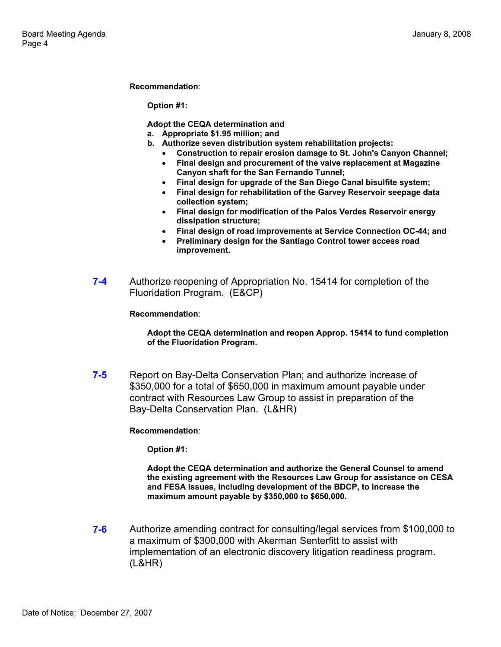#### **Recommendation**:

**Option #1:** 

**Adopt the CEQA determination and** 

- **a. Appropriate \$1.95 million; and**
- **b. Authorize seven distribution system rehabilitation projects:** 
	- **Construction to repair erosion damage to St. John's Canyon Channel;**
	- **Final design and procurement of the valve replacement at Magazine Canyon shaft for the San Fernando Tunnel;**
	- **Final design for upgrade of the San Diego Canal bisulfite system;**
	- **Final design for rehabilitation of the Garvey Reservoir seepage data collection system;**
	- **Final design for modification of the Palos Verdes Reservoir energy dissipation structure;**
	- **Final design of road improvements at Service Connection OC-44; and**
	- **Preliminary design for the Santiago Control tower access road improvement.**
- **7-4** Authorize reopening of Appropriation No. 15414 for completion of the Fluoridation Program. (E&CP)

#### **Recommendation**:

#### **Adopt the CEQA determination and reopen Approp. 15414 to fund completion of the Fluoridation Program.**

**7-5** Report on Bay-Delta Conservation Plan; and authorize increase of \$350,000 for a total of \$650,000 in maximum amount payable under contract with Resources Law Group to assist in preparation of the Bay-Delta Conservation Plan. (L&HR)

### **Recommendation**:

**Option #1:** 

**Adopt the CEQA determination and authorize the General Counsel to amend the existing agreement with the Resources Law Group for assistance on CESA and FESA issues, including development of the BDCP, to increase the maximum amount payable by \$350,000 to \$650,000.** 

**7-6** • Authorize amending contract for consulting/legal services from \$100,000 to a maximum of \$300,000 with Akerman Senterfitt to assist with implementation of an electronic discovery litigation readiness program. (L&HR)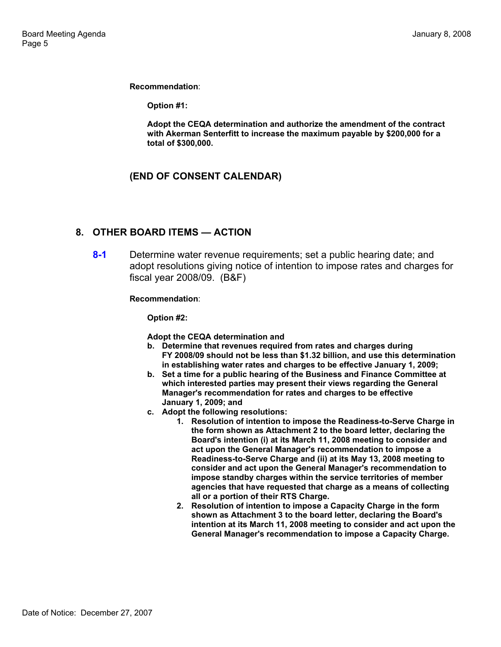**Recommendation**:

**Option #1:** 

**Adopt the CEQA determination and authorize the amendment of the contract with Akerman Senterfitt to increase the maximum payable by \$200,000 for a total of \$300,000.** 

### **(END OF CONSENT CALENDAR)**

### **8. OTHER BOARD ITEMS — ACTION**

**8-1** Determine water revenue requirements; set a public hearing date; and adopt resolutions giving notice of intention to impose rates and charges for fiscal year 2008/09. (B&F)

**Recommendation**:

**Option #2:** 

- **Adopt the CEQA determination and**
- **b. Determine that revenues required from rates and charges during FY 2008/09 should not be less than \$1.32 billion, and use this determination in establishing water rates and charges to be effective January 1, 2009;**
- **b. Set a time for a public hearing of the Business and Finance Committee at which interested parties may present their views regarding the General Manager's recommendation for rates and charges to be effective January 1, 2009; and**
- **c. Adopt the following resolutions:** 
	- **1. Resolution of intention to impose the Readiness-to-Serve Charge in the form shown as Attachment 2 to the board letter, declaring the Board's intention (i) at its March 11, 2008 meeting to consider and act upon the General Manager's recommendation to impose a Readiness-to-Serve Charge and (ii) at its May 13, 2008 meeting to consider and act upon the General Manager's recommendation to impose standby charges within the service territories of member agencies that have requested that charge as a means of collecting all or a portion of their RTS Charge.**
	- **2. Resolution of intention to impose a Capacity Charge in the form shown as Attachment 3 to the board letter, declaring the Board's intention at its March 11, 2008 meeting to consider and act upon the General Manager's recommendation to impose a Capacity Charge.**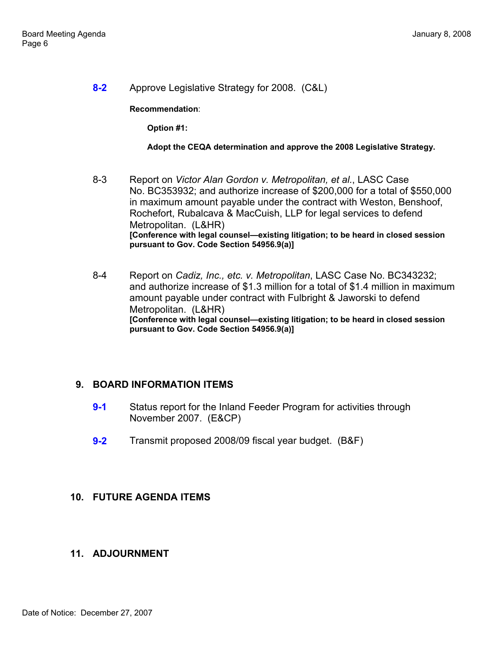**8-2** Approve Legislative Strategy for 2008. (C&L)

### **Recommendation**:

**Option #1:** 

### **Adopt the CEQA determination and approve the 2008 Legislative Strategy.**

- 8-3 Report on *Victor Alan Gordon v. Metropolitan, et al.*, LASC Case No. BC353932; and authorize increase of \$200,000 for a total of \$550,000 in maximum amount payable under the contract with Weston, Benshoof, Rochefort, Rubalcava & MacCuish, LLP for legal services to defend Metropolitan. (L&HR) **[Conference with legal counsel—existing litigation; to be heard in closed session pursuant to Gov. Code Section 54956.9(a)]**
- 8-4 Report on *Cadiz, Inc., etc. v. Metropolitan*, LASC Case No. BC343232; and authorize increase of \$1.3 million for a total of \$1.4 million in maximum amount payable under contract with Fulbright & Jaworski to defend Metropolitan. (L&HR) **[Conference with legal counsel—existing litigation; to be heard in closed session pursuant to Gov. Code Section 54956.9(a)]**

### **9. BOARD INFORMATION ITEMS**

- **9-1** Status report for the Inland Feeder Program for activities through November 2007. (E&CP)
- **9-2** Transmit proposed 2008/09 fiscal year budget. (B&F)

### **10. FUTURE AGENDA ITEMS**

### **11. ADJOURNMENT**